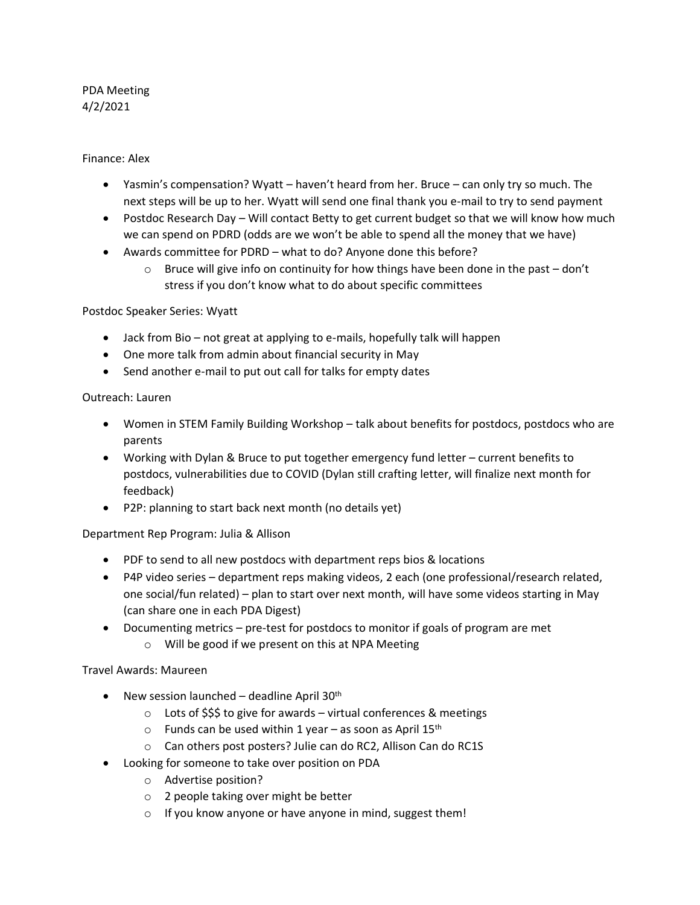# PDA Meeting 4/2/2021

Finance: Alex

- Yasmin's compensation? Wyatt haven't heard from her. Bruce can only try so much. The next steps will be up to her. Wyatt will send one final thank you e-mail to try to send payment
- Postdoc Research Day Will contact Betty to get current budget so that we will know how much we can spend on PDRD (odds are we won't be able to spend all the money that we have)
- Awards committee for PDRD what to do? Anyone done this before?
	- $\circ$  Bruce will give info on continuity for how things have been done in the past don't stress if you don't know what to do about specific committees

Postdoc Speaker Series: Wyatt

- Jack from Bio not great at applying to e-mails, hopefully talk will happen
- One more talk from admin about financial security in May
- Send another e-mail to put out call for talks for empty dates

Outreach: Lauren

- Women in STEM Family Building Workshop talk about benefits for postdocs, postdocs who are parents
- Working with Dylan & Bruce to put together emergency fund letter current benefits to postdocs, vulnerabilities due to COVID (Dylan still crafting letter, will finalize next month for feedback)
- P2P: planning to start back next month (no details yet)

Department Rep Program: Julia & Allison

- PDF to send to all new postdocs with department reps bios & locations
- P4P video series department reps making videos, 2 each (one professional/research related, one social/fun related) – plan to start over next month, will have some videos starting in May (can share one in each PDA Digest)
- Documenting metrics pre-test for postdocs to monitor if goals of program are met
	- o Will be good if we present on this at NPA Meeting

Travel Awards: Maureen

- New session launched deadline April  $30<sup>th</sup>$ 
	- $\circ$  Lots of \$\$\$ to give for awards virtual conferences & meetings
	- $\circ$  Funds can be used within 1 year as soon as April 15<sup>th</sup>
	- o Can others post posters? Julie can do RC2, Allison Can do RC1S
- Looking for someone to take over position on PDA
	- o Advertise position?
	- o 2 people taking over might be better
	- o If you know anyone or have anyone in mind, suggest them!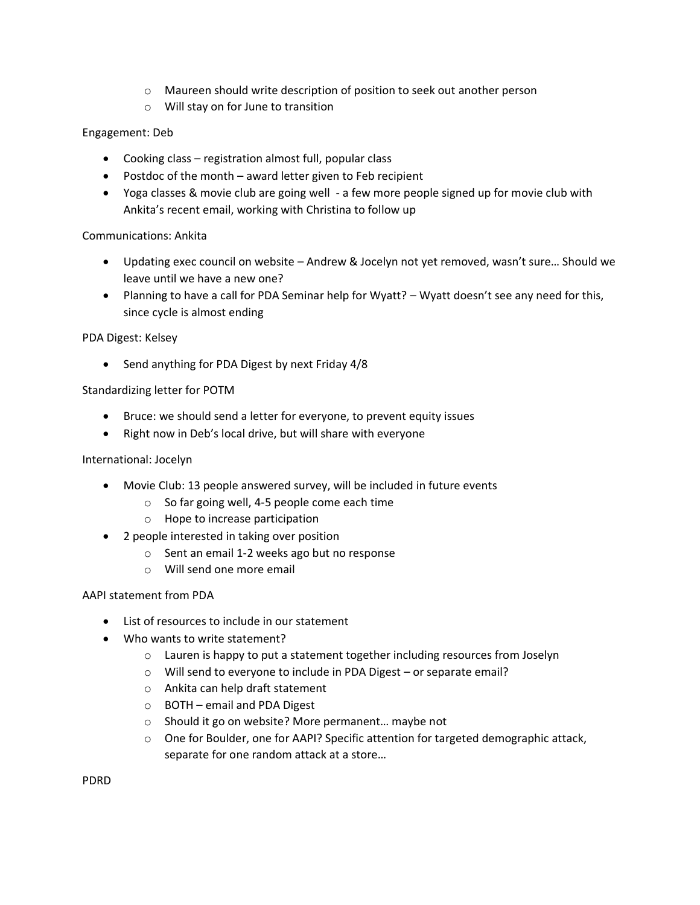- o Maureen should write description of position to seek out another person
- o Will stay on for June to transition

## Engagement: Deb

- Cooking class registration almost full, popular class
- Postdoc of the month award letter given to Feb recipient
- Yoga classes & movie club are going well a few more people signed up for movie club with Ankita's recent email, working with Christina to follow up

### Communications: Ankita

- Updating exec council on website Andrew & Jocelyn not yet removed, wasn't sure… Should we leave until we have a new one?
- Planning to have a call for PDA Seminar help for Wyatt? Wyatt doesn't see any need for this, since cycle is almost ending

### PDA Digest: Kelsey

• Send anything for PDA Digest by next Friday 4/8

### Standardizing letter for POTM

- Bruce: we should send a letter for everyone, to prevent equity issues
- Right now in Deb's local drive, but will share with everyone

### International: Jocelyn

- Movie Club: 13 people answered survey, will be included in future events
	- o So far going well, 4-5 people come each time
	- o Hope to increase participation
- 2 people interested in taking over position
	- o Sent an email 1-2 weeks ago but no response
	- o Will send one more email

### AAPI statement from PDA

- List of resources to include in our statement
- Who wants to write statement?
	- o Lauren is happy to put a statement together including resources from Joselyn
	- o Will send to everyone to include in PDA Digest or separate email?
	- o Ankita can help draft statement
	- o BOTH email and PDA Digest
	- o Should it go on website? More permanent… maybe not
	- $\circ$  One for Boulder, one for AAPI? Specific attention for targeted demographic attack, separate for one random attack at a store…

PDRD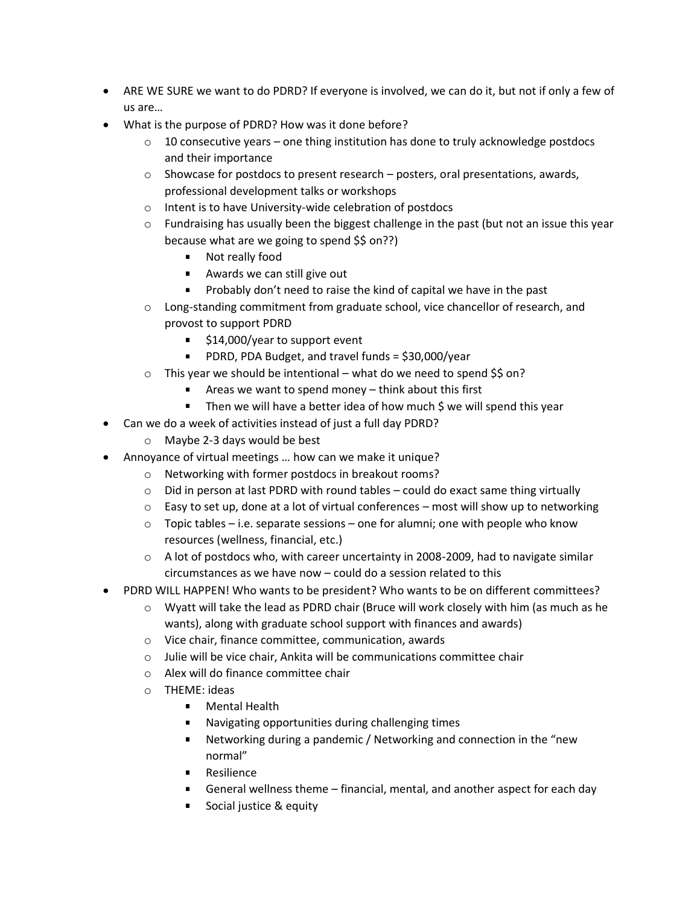- ARE WE SURE we want to do PDRD? If everyone is involved, we can do it, but not if only a few of us are…
- What is the purpose of PDRD? How was it done before?
	- $\circ$  10 consecutive years one thing institution has done to truly acknowledge postdocs and their importance
	- $\circ$  Showcase for postdocs to present research posters, oral presentations, awards, professional development talks or workshops
	- o Intent is to have University-wide celebration of postdocs
	- $\circ$  Fundraising has usually been the biggest challenge in the past (but not an issue this year because what are we going to spend \$\$ on??)
		- **Not really food**
		- Awards we can still give out
		- **Probably don't need to raise the kind of capital we have in the past**
	- o Long-standing commitment from graduate school, vice chancellor of research, and provost to support PDRD
		- \$14,000/year to support event
		- **PDRD, PDA Budget, and travel funds = \$30,000/year**
	- $\circ$  This year we should be intentional what do we need to spend \$\$ on?
		- Areas we want to spend money think about this first
		- $\blacksquare$  Then we will have a better idea of how much \$ we will spend this year
- Can we do a week of activities instead of just a full day PDRD?
	- o Maybe 2-3 days would be best
- Annoyance of virtual meetings … how can we make it unique?
	- o Networking with former postdocs in breakout rooms?
	- $\circ$  Did in person at last PDRD with round tables could do exact same thing virtually
	- $\circ$  Easy to set up, done at a lot of virtual conferences most will show up to networking
	- $\circ$  Topic tables i.e. separate sessions one for alumni; one with people who know resources (wellness, financial, etc.)
	- $\circ$  A lot of postdocs who, with career uncertainty in 2008-2009, had to navigate similar circumstances as we have now – could do a session related to this
- PDRD WILL HAPPEN! Who wants to be president? Who wants to be on different committees?
	- o Wyatt will take the lead as PDRD chair (Bruce will work closely with him (as much as he wants), along with graduate school support with finances and awards)
	- o Vice chair, finance committee, communication, awards
	- o Julie will be vice chair, Ankita will be communications committee chair
	- o Alex will do finance committee chair
	- o THEME: ideas
		- Mental Health  $\mathbf{u}$
		- Navigating opportunities during challenging times
		- Networking during a pandemic / Networking and connection in the "new normal"
		- **Resilience**
		- General wellness theme financial, mental, and another aspect for each day
		- Social justice & equity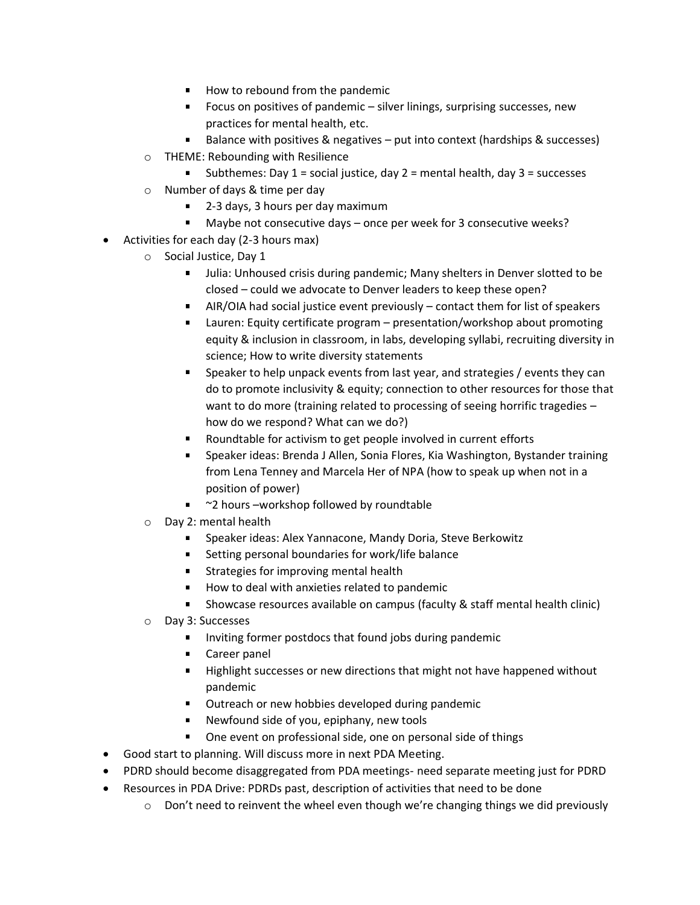- $\blacksquare$  How to rebound from the pandemic
- **Focus on positives of pandemic silver linings, surprising successes, new** practices for mental health, etc.
- Balance with positives & negatives put into context (hardships & successes)
- o THEME: Rebounding with Resilience
	- **Subthemes: Day 1 = social justice, day 2 = mental health, day 3 = successes**
- o Number of days & time per day
	- 2-3 days, 3 hours per day maximum
	- Maybe not consecutive days once per week for 3 consecutive weeks?  $\blacksquare$
- Activities for each day (2-3 hours max)
	- o Social Justice, Day 1
		- Ulia: Unhoused crisis during pandemic; Many shelters in Denver slotted to be closed – could we advocate to Denver leaders to keep these open?
		- AIR/OIA had social justice event previously contact them for list of speakers
		- Lauren: Equity certificate program presentation/workshop about promoting equity & inclusion in classroom, in labs, developing syllabi, recruiting diversity in science; How to write diversity statements
		- **Speaker to help unpack events from last year, and strategies / events they can** do to promote inclusivity & equity; connection to other resources for those that want to do more (training related to processing of seeing horrific tragedies – how do we respond? What can we do?)
		- Roundtable for activism to get people involved in current efforts
		- Speaker ideas: Brenda J Allen, Sonia Flores, Kia Washington, Bystander training from Lena Tenney and Marcela Her of NPA (how to speak up when not in a position of power)
		- <sup>~</sup>2 hours –workshop followed by roundtable
	- o Day 2: mental health
		- $\blacksquare$ Speaker ideas: Alex Yannacone, Mandy Doria, Steve Berkowitz
		- Setting personal boundaries for work/life balance
		- **Strategies for improving mental health**
		- $\mathbf{u}$ How to deal with anxieties related to pandemic
		- $\blacksquare$ Showcase resources available on campus (faculty & staff mental health clinic)
	- o Day 3: Successes
		- Inviting former postdocs that found jobs during pandemic
		- **Career panel**
		- **Highlight successes or new directions that might not have happened without** pandemic
		- **Dutreach or new hobbies developed during pandemic**
		- Newfound side of you, epiphany, new tools  $\mathbf{u}$
		- One event on professional side, one on personal side of things
- Good start to planning. Will discuss more in next PDA Meeting.
- PDRD should become disaggregated from PDA meetings- need separate meeting just for PDRD
- Resources in PDA Drive: PDRDs past, description of activities that need to be done
	- $\circ$  Don't need to reinvent the wheel even though we're changing things we did previously